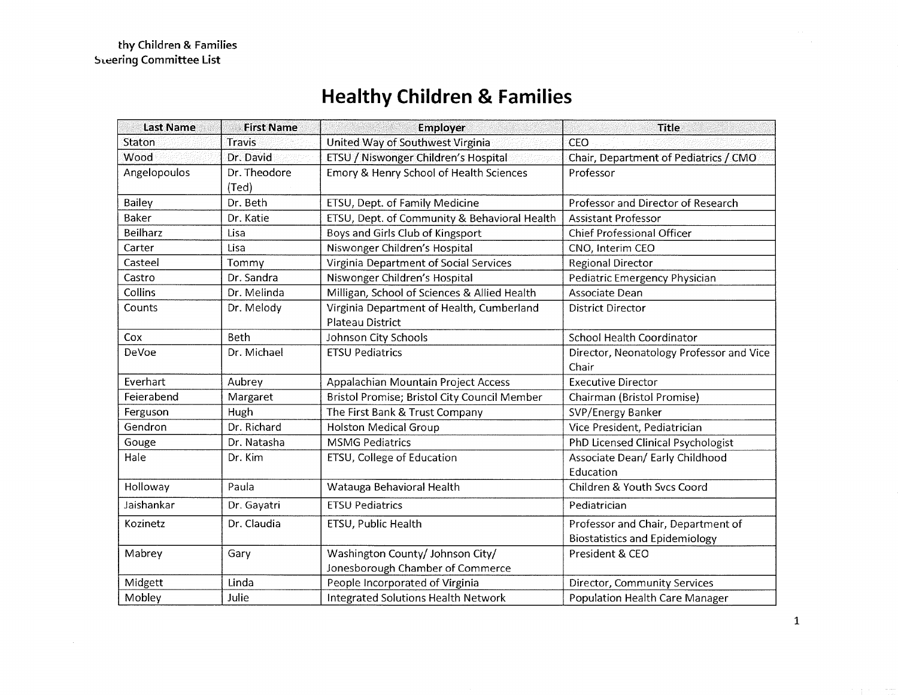# **Healthy Children & Families**

| <b>Last Name</b> | <b>First Name</b>     | Employer                                                             | Title                                                                       |
|------------------|-----------------------|----------------------------------------------------------------------|-----------------------------------------------------------------------------|
| Staton           | <b>Travis</b>         | United Way of Southwest Virginia                                     | CEO                                                                         |
| Wood             | Dr. David             | ETSU / Niswonger Children's Hospital                                 | Chair, Department of Pediatrics / CMO                                       |
| Angelopoulos     | Dr. Theodore<br>(Ted) | Emory & Henry School of Health Sciences                              | Professor                                                                   |
| <b>Bailey</b>    | Dr. Beth              | ETSU, Dept. of Family Medicine                                       | Professor and Director of Research                                          |
| Baker            | Dr. Katie             | ETSU, Dept. of Community & Behavioral Health                         | <b>Assistant Professor</b>                                                  |
| <b>Beilharz</b>  | Lisa                  | Boys and Girls Club of Kingsport                                     | <b>Chief Professional Officer</b>                                           |
| Carter           | Lisa                  | Niswonger Children's Hospital                                        | CNO, Interim CEO                                                            |
| Casteel          | Tommy                 | Virginia Department of Social Services                               | <b>Regional Director</b>                                                    |
| Castro           | Dr. Sandra            | Niswonger Children's Hospital                                        | Pediatric Emergency Physician                                               |
| Collins          | Dr. Melinda           | Milligan, School of Sciences & Allied Health                         | Associate Dean                                                              |
| Counts           | Dr. Melody            | Virginia Department of Health, Cumberland<br><b>Plateau District</b> | <b>District Director</b>                                                    |
| Cox              | <b>Beth</b>           | Johnson City Schools                                                 | <b>School Health Coordinator</b>                                            |
| DeVoe            | Dr. Michael           | <b>ETSU Pediatrics</b>                                               | Director, Neonatology Professor and Vice<br>Chair                           |
| Everhart         | Aubrey                | Appalachian Mountain Project Access                                  | <b>Executive Director</b>                                                   |
| Feierabend       | Margaret              | Bristol Promise; Bristol City Council Member                         | Chairman (Bristol Promise)                                                  |
| Ferguson         | Hugh                  | The First Bank & Trust Company                                       | SVP/Energy Banker                                                           |
| Gendron          | Dr. Richard           | <b>Holston Medical Group</b>                                         | Vice President, Pediatrician                                                |
| Gouge            | Dr. Natasha           | <b>MSMG Pediatrics</b>                                               | PhD Licensed Clinical Psychologist                                          |
| Hale             | Dr. Kim               | ETSU, College of Education                                           | Associate Dean/ Early Childhood<br>Education                                |
| Holloway         | Paula                 | Watauga Behavioral Health                                            | Children & Youth Svcs Coord                                                 |
| Jaishankar       | Dr. Gayatri           | <b>ETSU Pediatrics</b>                                               | Pediatrician                                                                |
| Kozinetz         | Dr. Claudia           | ETSU, Public Health                                                  | Professor and Chair, Department of<br><b>Biostatistics and Epidemiology</b> |
| Mabrey           | Gary                  | Washington County/ Johnson City/<br>Jonesborough Chamber of Commerce | President & CEO                                                             |
| Midgett          | Linda                 | People Incorporated of Virginia                                      | Director, Community Services                                                |
| Mobley           | Julie                 | Integrated Solutions Health Network                                  | Population Health Care Manager                                              |

1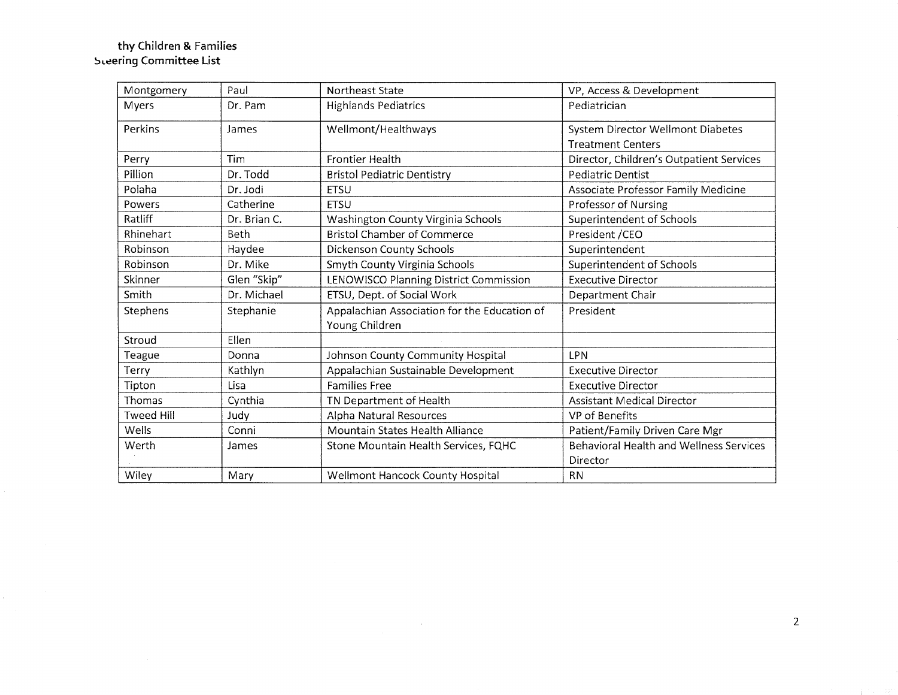#### **thy Children & Families**  ~>L.:ering **Committee List**

| Montgomery        | Paul         | <b>Northeast State</b>                       | VP, Access & Development                       |
|-------------------|--------------|----------------------------------------------|------------------------------------------------|
| Myers             | Dr. Pam      | <b>Highlands Pediatrics</b>                  | Pediatrician                                   |
| Perkins           | James        | Wellmont/Healthways                          | System Director Wellmont Diabetes              |
|                   |              |                                              | <b>Treatment Centers</b>                       |
| Perry             | Tim          | <b>Frontier Health</b>                       | Director, Children's Outpatient Services       |
| Pillion           | Dr. Todd     | <b>Bristol Pediatric Dentistry</b>           | <b>Pediatric Dentist</b>                       |
| Polaha            | Dr. Jodi     | <b>ETSU</b>                                  | Associate Professor Family Medicine            |
| Powers            | Catherine    | <b>ETSU</b>                                  | Professor of Nursing                           |
| Ratliff           | Dr. Brian C. | Washington County Virginia Schools           | Superintendent of Schools                      |
| Rhinehart         | <b>Beth</b>  | <b>Bristol Chamber of Commerce</b>           | President / CEO                                |
| Robinson          | Haydee       | Dickenson County Schools                     | Superintendent                                 |
| Robinson          | Dr. Mike     | Smyth County Virginia Schools                | Superintendent of Schools                      |
| Skinner           | Glen "Skip"  | LENOWISCO Planning District Commission       | <b>Executive Director</b>                      |
| Smith             | Dr. Michael  | ETSU, Dept. of Social Work                   | Department Chair                               |
| Stephens          | Stephanie    | Appalachian Association for the Education of | President                                      |
|                   |              | Young Children                               |                                                |
| Stroud            | Ellen        |                                              |                                                |
| Teague            | Donna        | Johnson County Community Hospital            | <b>LPN</b>                                     |
| Terry             | Kathlyn      | Appalachian Sustainable Development          | <b>Executive Director</b>                      |
| Tipton            | Lisa         | <b>Families Free</b>                         | <b>Executive Director</b>                      |
| Thomas            | Cynthia      | TN Department of Health                      | <b>Assistant Medical Director</b>              |
| <b>Tweed Hill</b> | Judy         | Alpha Natural Resources                      | VP of Benefits                                 |
| Wells             | Conni        | Mountain States Health Alliance              | Patient/Family Driven Care Mgr                 |
| Werth             | James        | Stone Mountain Health Services, FQHC         | <b>Behavioral Health and Wellness Services</b> |
|                   |              |                                              | Director                                       |
| Wiley             | Mary         | Wellmont Hancock County Hospital             | <b>RN</b>                                      |

 $\mathcal{L}^{\text{max}}_{\text{max}}$ 

2

ing the 100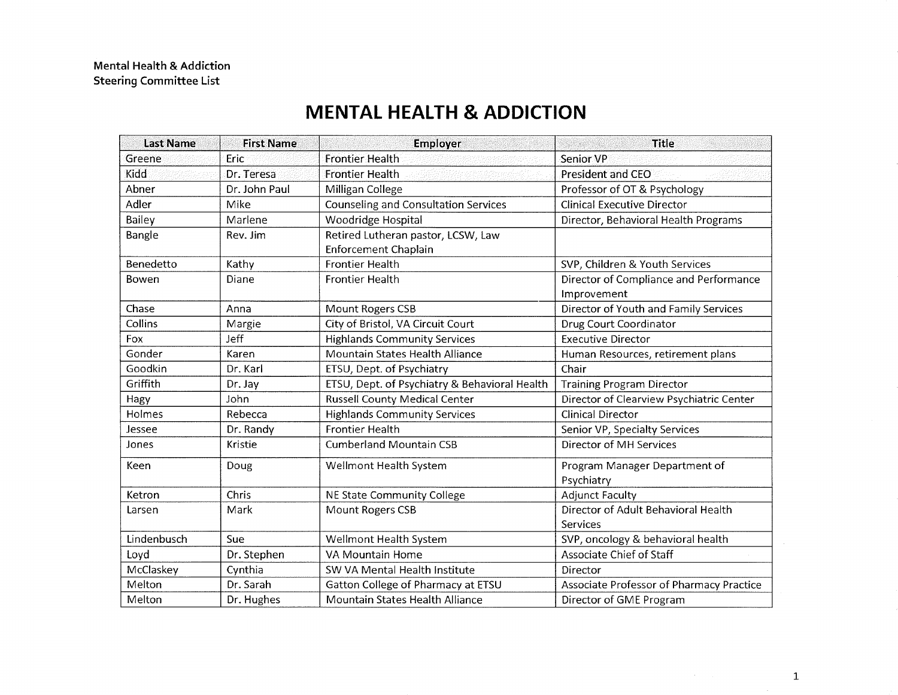## **MENTAL HEALTH & ADDICTION**

| <b>Last Name</b> | <b>First Name</b> | <b>Employer</b>                                            | <b>Title</b>                                          |
|------------------|-------------------|------------------------------------------------------------|-------------------------------------------------------|
| Greene           | Eric              | <b>Frontier Health</b>                                     | Senior VP                                             |
| Kidd             | Dr. Teresa        | <b>Frontier Health</b>                                     | <b>President and CEO</b>                              |
| Abner            | Dr. John Paul     | Milligan College                                           | Professor of OT & Psychology                          |
| Adler            | Mike              | Counseling and Consultation Services                       | <b>Clinical Executive Director</b>                    |
| Bailey           | Marlene           | Woodridge Hospital                                         | Director, Behavioral Health Programs                  |
| Bangle           | Rev. Jim          | Retired Lutheran pastor, LCSW, Law<br>Enforcement Chaplain |                                                       |
| Benedetto        | Kathy             | <b>Frontier Health</b>                                     | SVP, Children & Youth Services                        |
| Bowen            | Diane             | <b>Frontier Health</b>                                     | Director of Compliance and Performance<br>Improvement |
| Chase            | Anna              | Mount Rogers CSB                                           | Director of Youth and Family Services                 |
| Collins          | Margie            | City of Bristol, VA Circuit Court                          | Drug Court Coordinator                                |
| Fox              | <b>Jeff</b>       | <b>Highlands Community Services</b>                        | <b>Executive Director</b>                             |
| Gonder           | Karen             | Mountain States Health Alliance                            | Human Resources, retirement plans                     |
| Goodkin          | Dr. Karl          | ETSU, Dept. of Psychiatry                                  | Chair                                                 |
| Griffith         | Dr. Jay           | ETSU, Dept. of Psychiatry & Behavioral Health              | <b>Training Program Director</b>                      |
| Hagy             | John              | Russell County Medical Center                              | Director of Clearview Psychiatric Center              |
| Holmes           | Rebecca           | <b>Highlands Community Services</b>                        | <b>Clinical Director</b>                              |
| Jessee           | Dr. Randy         | <b>Frontier Health</b>                                     | Senior VP, Specialty Services                         |
| Jones            | Kristie           | <b>Cumberland Mountain CSB</b>                             | Director of MH Services                               |
| Keen             | Doug              | Wellmont Health System                                     | Program Manager Department of<br>Psychiatry           |
| Ketron           | Chris             | NE State Community College                                 | <b>Adjunct Faculty</b>                                |
| Larsen           | Mark              | Mount Rogers CSB                                           | Director of Adult Behavioral Health<br>Services       |
| Lindenbusch      | Sue               | Wellmont Health System                                     | SVP, oncology & behavioral health                     |
| Loyd             | Dr. Stephen       | VA Mountain Home                                           | Associate Chief of Staff                              |
| McClaskey        | Cynthia           | SW VA Mental Health Institute                              | Director                                              |
| Melton           | Dr. Sarah         | Gatton College of Pharmacy at ETSU                         | Associate Professor of Pharmacy Practice              |
| Melton           | Dr. Hughes        | Mountain States Health Alliance                            | Director of GME Program                               |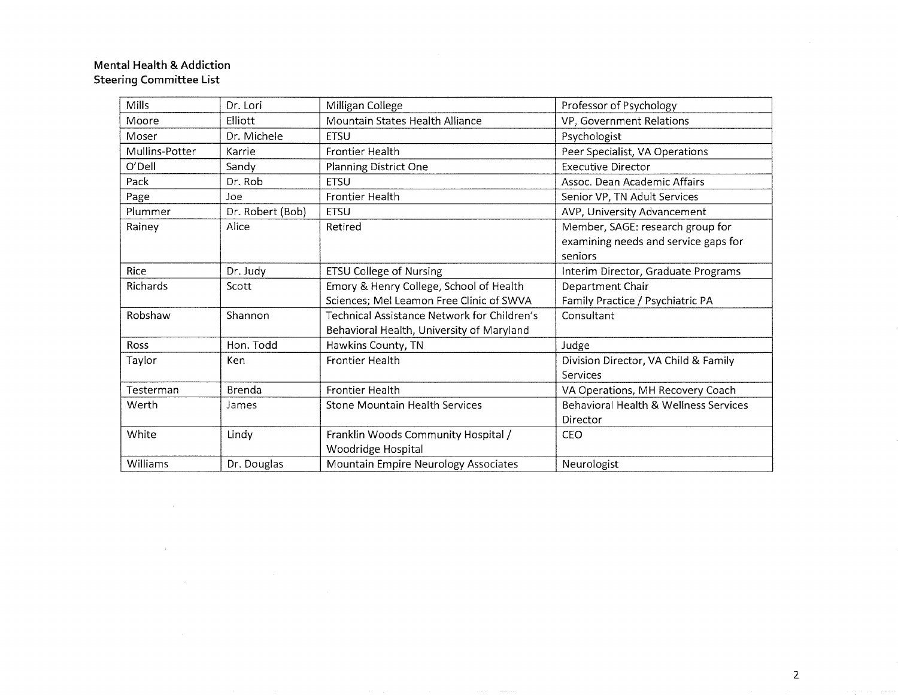### **Mental Health & Addiction Steering Committee List**

 $\sim$ 

| <b>Mills</b>   | Dr. Lori         | Milligan College                            | Professor of Psychology                          |
|----------------|------------------|---------------------------------------------|--------------------------------------------------|
| Moore          | Elliott          | Mountain States Health Alliance             | VP, Government Relations                         |
| Moser          | Dr. Michele      | <b>ETSU</b>                                 | Psychologist                                     |
| Mullins-Potter | Karrie           | <b>Frontier Health</b>                      | Peer Specialist, VA Operations                   |
| O'Dell         | Sandy            | Planning District One                       | <b>Executive Director</b>                        |
| Pack           | Dr. Rob          | <b>ETSU</b>                                 | Assoc. Dean Academic Affairs                     |
| Page           | Joe              | <b>Frontier Health</b>                      | Senior VP, TN Adult Services                     |
| Plummer        | Dr. Robert (Bob) | <b>ETSU</b>                                 | AVP, University Advancement                      |
| Rainey         | Alice            | Retired                                     | Member, SAGE: research group for                 |
|                |                  |                                             | examining needs and service gaps for             |
|                |                  |                                             | seniors                                          |
| <b>Rice</b>    | Dr. Judy         | <b>ETSU College of Nursing</b>              | Interim Director, Graduate Programs              |
| Richards       | Scott            | Emory & Henry College, School of Health     | Department Chair                                 |
|                |                  | Sciences; Mel Leamon Free Clinic of SWVA    | Family Practice / Psychiatric PA                 |
| Robshaw        | Shannon          | Technical Assistance Network for Children's | Consultant                                       |
|                |                  | Behavioral Health, University of Maryland   |                                                  |
| <b>Ross</b>    | Hon. Todd        | Hawkins County, TN                          | Judge                                            |
| Taylor         | Ken              | <b>Frontier Health</b>                      | Division Director, VA Child & Family             |
|                |                  |                                             | Services                                         |
| Testerman      | Brenda           | <b>Frontier Health</b>                      | VA Operations, MH Recovery Coach                 |
| Werth          | James            | <b>Stone Mountain Health Services</b>       | <b>Behavioral Health &amp; Wellness Services</b> |
|                |                  |                                             | Director                                         |
| White          | Lindy            | Franklin Woods Community Hospital /         | CEO                                              |
|                |                  | Woodridge Hospital                          |                                                  |
| Williams       | Dr. Douglas      | Mountain Empire Neurology Associates        | Neurologist                                      |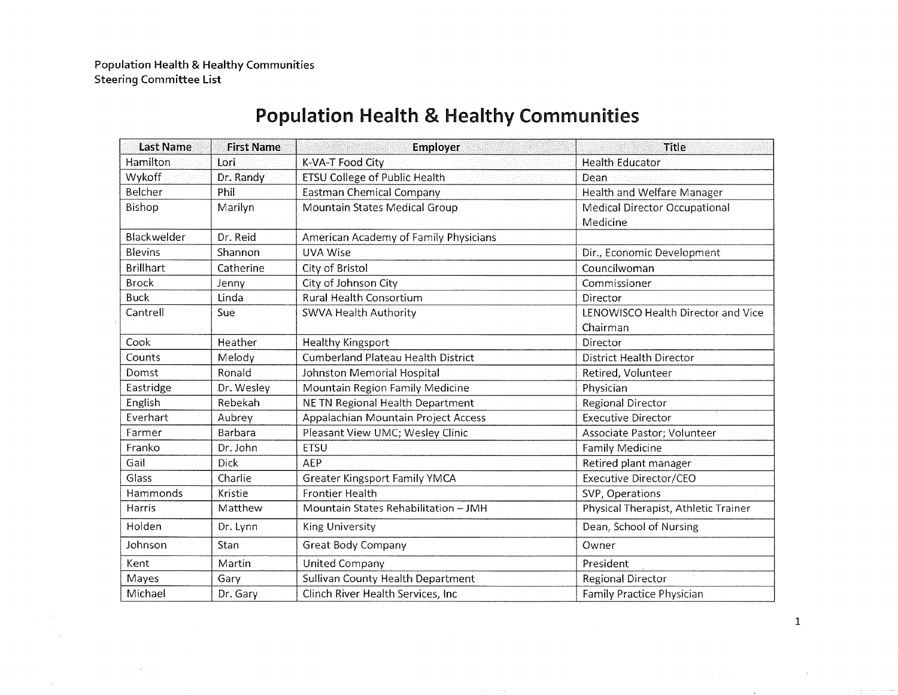| <b>Last Name</b> | <b>First Name</b> | <b>Employer</b>                           | <b>Title</b>                         |
|------------------|-------------------|-------------------------------------------|--------------------------------------|
| Hamilton         | Lori              | K-VA-T Food City                          | <b>Health Educator</b>               |
| Wykoff           | Dr. Randy         | <b>ETSU College of Public Health</b>      | Dean                                 |
| Belcher          | Phil              | Eastman Chemical Company                  | Health and Welfare Manager           |
| Bishop           | Marilyn           | Mountain States Medical Group             | <b>Medical Director Occupational</b> |
|                  |                   |                                           | Medicine                             |
| Blackwelder      | Dr. Reid          | American Academy of Family Physicians     |                                      |
| <b>Blevins</b>   | Shannon           | <b>UVA Wise</b>                           | Dir., Economic Development           |
| <b>Brillhart</b> | Catherine         | City of Bristol                           | Councilwoman                         |
| <b>Brock</b>     | Jenny             | City of Johnson City                      | Commissioner                         |
| <b>Buck</b>      | Linda             | <b>Rural Health Consortium</b>            | Director                             |
| Cantrell         | Sue               | SWVA Health Authority                     | LENOWISCO Health Director and Vice   |
|                  |                   |                                           | Chairman                             |
| Cook             | Heather           | Healthy Kingsport                         | Director                             |
| Counts           | Melody            | <b>Cumberland Plateau Health District</b> | District Health Director             |
| Domst            | Ronald            | Johnston Memorial Hospital                | Retired, Volunteer                   |
| Eastridge        | Dr. Wesley        | Mountain Region Family Medicine           | Physician                            |
| English          | Rebekah           | NE TN Regional Health Department          | Regional Director                    |
| Everhart         | Aubrey            | Appalachian Mountain Project Access       | <b>Executive Director</b>            |
| Farmer           | Barbara           | Pleasant View UMC; Wesley Clinic          | Associate Pastor; Volunteer          |
| Franko           | Dr. John          | <b>ETSU</b>                               | Family Medicine                      |
| Gail             | <b>Dick</b>       | AEP                                       | Retired plant manager                |
| Glass            | Charlie           | <b>Greater Kingsport Family YMCA</b>      | Executive Director/CEO               |
| Hammonds         | Kristie           | <b>Frontier Health</b>                    | SVP, Operations                      |
| Harris           | Matthew           | Mountain States Rehabilitation - JMH      | Physical Therapist, Athletic Trainer |
| Holden           | Dr. Lynn          | <b>King University</b>                    | Dean, School of Nursing              |
| Johnson          | Stan              | Great Body Company                        | Owner                                |
| Kent             | Martin            | <b>United Company</b>                     | President                            |
| Mayes            | Gary              | Sullivan County Health Department         | Regional Director                    |
| Michael          | Dr. Gary          | Clinch River Health Services, Inc         | Family Practice Physician            |

## Population Health & Healthy Communities

1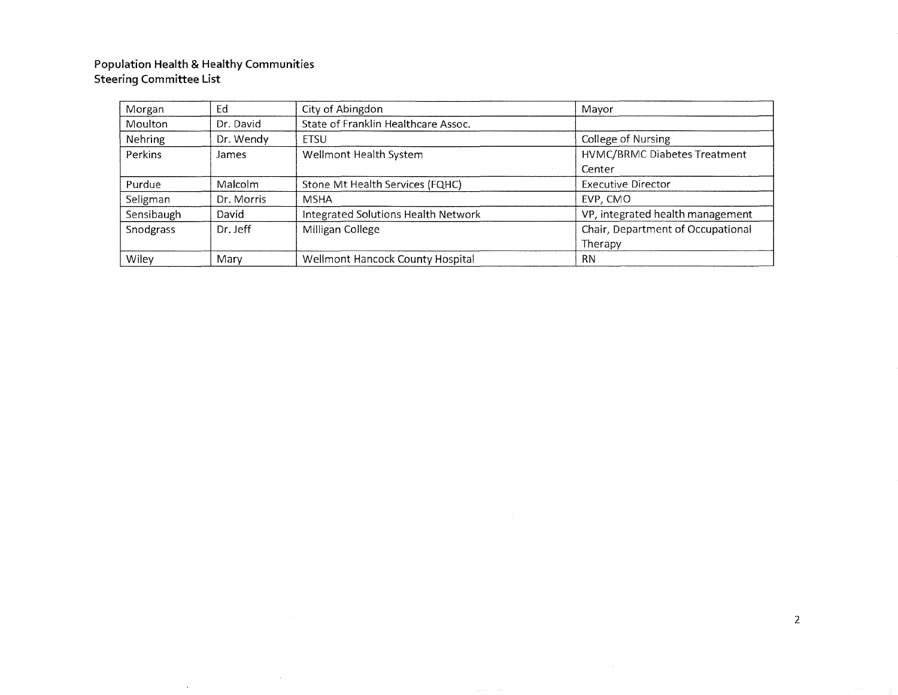#### **Population Health & Healthy Communities Steering Committee List**

 $\alpha$  and  $\alpha$ 

 $\sim$ 

| Morgan         | Ed         | City of Abingdon                    | Mayor                             |
|----------------|------------|-------------------------------------|-----------------------------------|
| Moulton        | Dr. David  | State of Franklin Healthcare Assoc. |                                   |
| <b>Nehring</b> | Dr. Wendy  | <b>ETSU</b>                         | College of Nursing                |
| Perkins        | James      | Wellmont Health System              | HVMC/BRMC Diabetes Treatment      |
|                |            |                                     | Center                            |
| Purdue         | Malcolm    | Stone Mt Health Services (FQHC)     | Executive Director                |
| Seligman       | Dr. Morris | <b>MSHA</b>                         | EVP, CMO                          |
| Sensibaugh     | David      | Integrated Solutions Health Network | VP, integrated health management  |
| Snodgrass      | Dr. Jeff   | Milligan College                    | Chair, Department of Occupational |
|                |            |                                     | Therapy                           |
| Wiley          | Mary       | Wellmont Hancock County Hospital    | <b>RN</b>                         |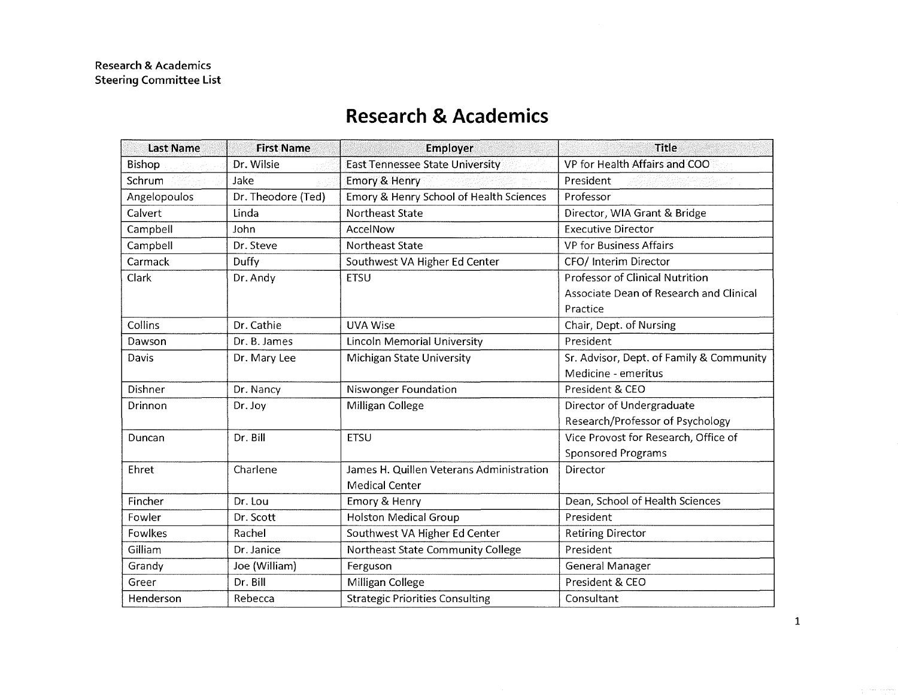#### last Name Bishop Schrum Angelopoulos Calvert Campbell Campbell Carmack Clark Collins Dawson Davis Dishner Drinnon Duncan Ehret Fincher Fowler Fowlkes Gilliam Grandy Greer Henderson First Name Dr. Wilsie Jake Dr. Theodore (Ted) Linda John Dr. Steve Duffy Dr. Andy Dr. Cathie Dr. B. James Dr. Mary Lee Dr. Nancy Dr. Joy Dr. Bill Charlene Dr. Lou Dr. Scott Rachel Dr. Janice Joe (William) Dr. Bill Rebecca Employer and the Title East Tennessee State University VP for Health Affairs and COO Emory & Henry President Resident Emory & Henry School of Health Sciences | Professor Northeast State **Director**, WIA Grant & Bridge AccelNow **Executive Director** Northeast State VP for Business Affairs Southwest VA Higher Ed Center | CFO/ Interim Director ETSU Professor of Clinical Nutrition Associate Dean of Research and Clinical Practice UVA Wise Chair, Dept. of Nursing Lincoln Memorial University President Michigan State University Sr. Advisor, Dept. of Family & Community Medicine - emeritus Niswonger Foundation **President & CEO** Milligan College **Director of Undergraduate** Research/Professor of Psychology ETSU Vice Provost for Research, Office of Sponsored Programs James H. Quillen Veterans Administration | Director Medical Center Emory & Henry **Emory & Henry 2018 Dean, School of Health Sciences** Holston Medical Group President Southwest VA Higher Ed Center Retiring Director Northeast State Community College President Ferguson General Manager Milligan College **President & CEO** Strategic Priorities Consulting Fig. 2.1 | Consultant

## **Research & Academics**